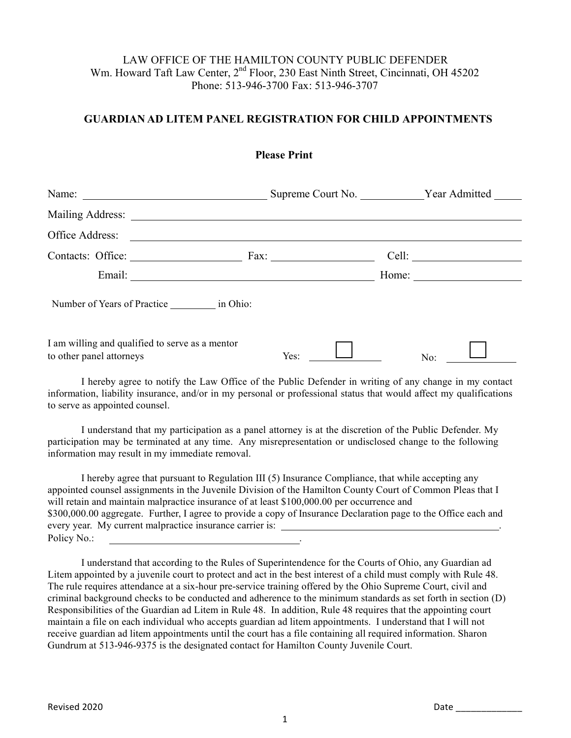## LAW OFFICE OF THE HAMILTON COUNTY PUBLIC DEFENDER Wm. Howard Taft Law Center, 2<sup>nd</sup> Floor, 230 East Ninth Street, Cincinnati, OH 45202 Phone: 513-946-3700 Fax: 513-946-3707

## **GUARDIAN AD LITEM PANEL REGISTRATION FOR CHILD APPOINTMENTS**

|                                                                             | Name: Name: Name: Name: Name: Name: Name: Name: Name: Name: Name: Name: Name: Name: Name: Name: Name: Name: Name: Name: Name: Name: Name: Name: Name: Name: Name: Name: Name: Name: Name: Name: Name: Name: Name: Name: Name: |       |
|-----------------------------------------------------------------------------|-------------------------------------------------------------------------------------------------------------------------------------------------------------------------------------------------------------------------------|-------|
|                                                                             |                                                                                                                                                                                                                               |       |
|                                                                             |                                                                                                                                                                                                                               |       |
|                                                                             |                                                                                                                                                                                                                               | Cell: |
|                                                                             |                                                                                                                                                                                                                               |       |
| Number of Years of Practice in Ohio:                                        |                                                                                                                                                                                                                               |       |
| I am willing and qualified to serve as a mentor<br>to other panel attorneys | Yes:                                                                                                                                                                                                                          | No:   |

I hereby agree to notify the Law Office of the Public Defender in writing of any change in my contact information, liability insurance, and/or in my personal or professional status that would affect my qualifications to serve as appointed counsel.

I understand that my participation as a panel attorney is at the discretion of the Public Defender. My participation may be terminated at any time. Any misrepresentation or undisclosed change to the following information may result in my immediate removal.

I hereby agree that pursuant to Regulation III (5) Insurance Compliance, that while accepting any appointed counsel assignments in the Juvenile Division of the Hamilton County Court of Common Pleas that I will retain and maintain malpractice insurance of at least \$100,000.00 per occurrence and \$300,000.00 aggregate. Further, I agree to provide a copy of Insurance Declaration page to the Office each and every year. My current malpractice insurance carrier is: Policy No.:

I understand that according to the Rules of Superintendence for the Courts of Ohio, any Guardian ad Litem appointed by a juvenile court to protect and act in the best interest of a child must comply with Rule 48. The rule requires attendance at a six-hour pre-service training offered by the Ohio Supreme Court, civil and criminal background checks to be conducted and adherence to the minimum standards as set forth in section (D) Responsibilities of the Guardian ad Litem in Rule 48. In addition, Rule 48 requires that the appointing court maintain a file on each individual who accepts guardian ad litem appointments. I understand that I will not receive guardian ad litem appointments until the court has a file containing all required information. Sharon Gundrum at 513-946-9375 is the designated contact for Hamilton County Juvenile Court.

1

**Please Print**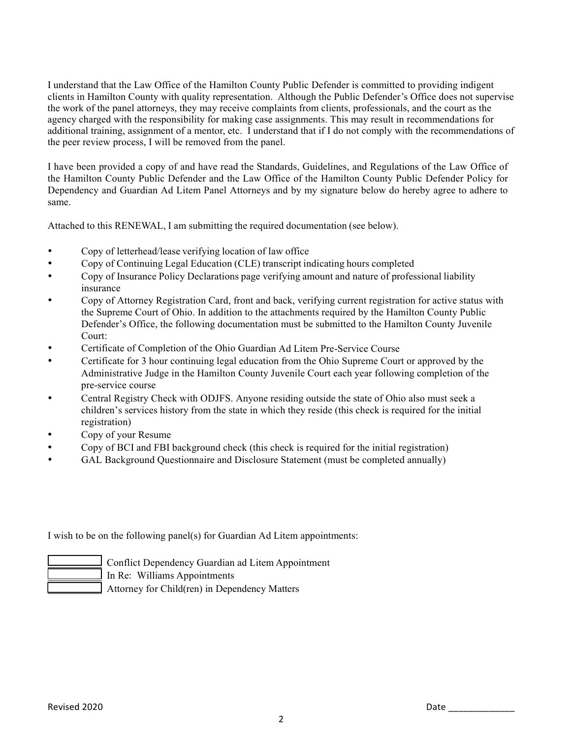I understand that the Law Office of the Hamilton County Public Defender is committed to providing indigent clients in Hamilton County with quality representation. Although the Public Defender's Office does not supervise the work of the panel attorneys, they may receive complaints from clients, professionals, and the court as the agency charged with the responsibility for making case assignments. This may result in recommendations for additional training, assignment of a mentor, etc. I understand that if I do not comply with the recommendations of the peer review process, I will be removed from the panel.

I have been provided a copy of and have read the Standards, Guidelines, and Regulations of the Law Office of the Hamilton County Public Defender and the Law Office of the Hamilton County Public Defender Policy for Dependency and Guardian Ad Litem Panel Attorneys and by my signature below do hereby agree to adhere to same.

Attached to this RENEWAL, I am submitting the required documentation (see below).

- Copy of letterhead/lease verifying location of law office
- Copy of Continuing Legal Education (CLE) transcript indicating hours completed
- Copy of Insurance Policy Declarations page verifying amount and nature of professional liability insurance
- Copy of Attorney Registration Card, front and back, verifying current registration for active status with the Supreme Court of Ohio. In addition to the attachments required by the Hamilton County Public Defender's Office, the following documentation must be submitted to the Hamilton County Juvenile Court:
- Certificate of Completion of the Ohio Guardian Ad Litem Pre-Service Course
- Certificate for 3 hour continuing legal education from the Ohio Supreme Court or approved by the Administrative Judge in the Hamilton County Juvenile Court each year following completion of the pre-service course
- Central Registry Check with ODJFS. Anyone residing outside the state of Ohio also must seek a children's services history from the state in which they reside (this check is required for the initial registration)
- Copy of your Resume
- Copy of BCI and FBI background check (this check is required for the initial registration)
- GAL Background Questionnaire and Disclosure Statement (must be completed annually)

I wish to be on the following panel(s) for Guardian Ad Litem appointments:



 Conflict Dependency Guardian ad Litem Appointment In Re: Williams Appointments Attorney for Child(ren) in Dependency Matters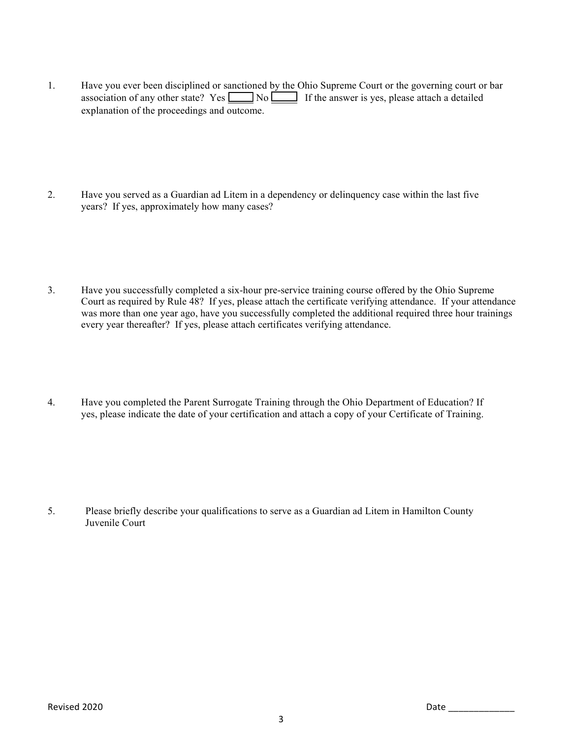- 1. Have you ever been disciplined or sanctioned by the Ohio Supreme Court or the governing court or bar association of any other state? Yes  $\Box$  No If the answer is yes, please attach a detailed explanation of the proceedings and outcome.
- 2. Have you served as a Guardian ad Litem in a dependency or delinquency case within the last five years? If yes, approximately how many cases?
- 3. Have you successfully completed a six-hour pre-service training course offered by the Ohio Supreme Court as required by Rule 48? If yes, please attach the certificate verifying attendance. If your attendance was more than one year ago, have you successfully completed the additional required three hour trainings every year thereafter? If yes, please attach certificates verifying attendance.
- 4. Have you completed the Parent Surrogate Training through the Ohio Department of Education? If yes, please indicate the date of your certification and attach a copy of your Certificate of Training.

5. Please briefly describe your qualifications to serve as a Guardian ad Litem in Hamilton County Juvenile Court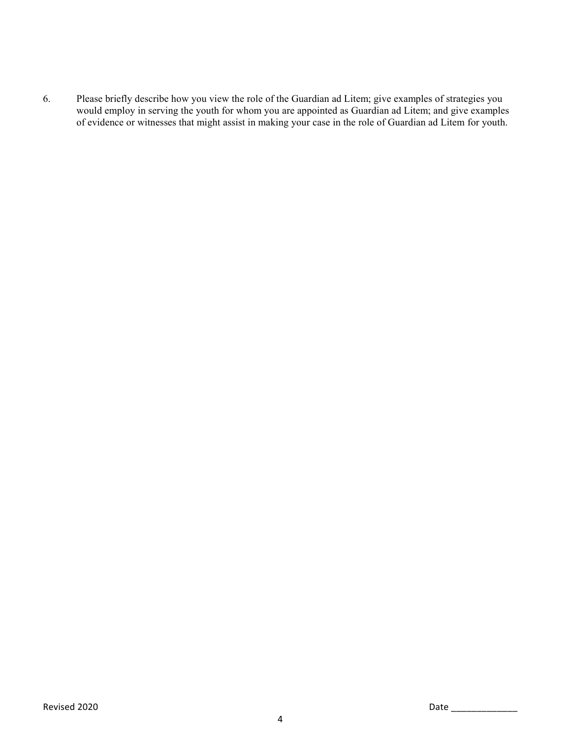6. Please briefly describe how you view the role of the Guardian ad Litem; give examples of strategies you would employ in serving the youth for whom you are appointed as Guardian ad Litem; and give examples of evidence or witnesses that might assist in making your case in the role of Guardian ad Litem for youth.